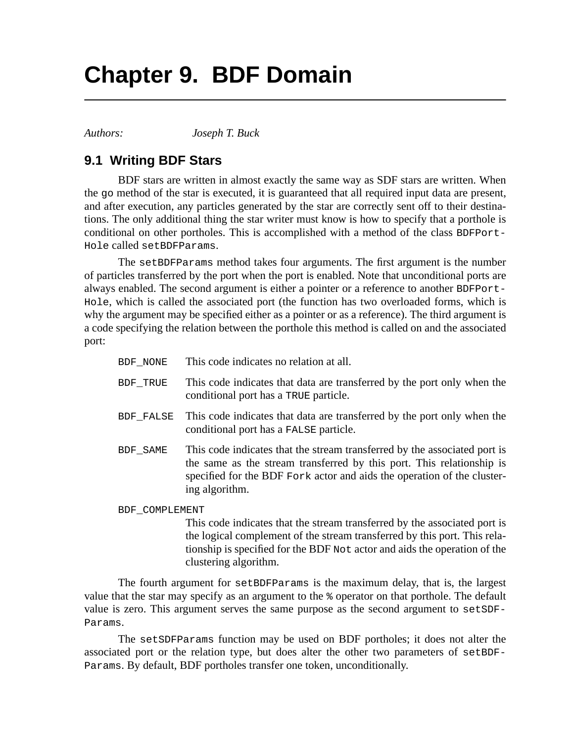## **Chapter 9. BDF Domain**

*Authors: Joseph T. Buck*

## **9.1 Writing BDF Stars**

BDF stars are written in almost exactly the same way as SDF stars are written. When the go method of the star is executed, it is guaranteed that all required input data are present, and after execution, any particles generated by the star are correctly sent off to their destinations. The only additional thing the star writer must know is how to specify that a porthole is conditional on other portholes. This is accomplished with a method of the class BDFPort-Hole called setBDFParams.

The setBDFParams method takes four arguments. The first argument is the number of particles transferred by the port when the port is enabled. Note that unconditional ports are always enabled. The second argument is either a pointer or a reference to another BDFPort-Hole, which is called the associated port (the function has two overloaded forms, which is why the argument may be specified either as a pointer or as a reference). The third argument is a code specifying the relation between the porthole this method is called on and the associated port:

| BDF NONE       | This code indicates no relation at all.                                                                                                                                                                                                         |
|----------------|-------------------------------------------------------------------------------------------------------------------------------------------------------------------------------------------------------------------------------------------------|
| BDF TRUE       | This code indicates that data are transferred by the port only when the<br>conditional port has a TRUE particle.                                                                                                                                |
| BDF_FALSE      | This code indicates that data are transferred by the port only when the<br>conditional port has a FALSE particle.                                                                                                                               |
| BDF SAME       | This code indicates that the stream transferred by the associated port is<br>the same as the stream transferred by this port. This relationship is<br>specified for the BDF Fork actor and aids the operation of the cluster-<br>ing algorithm. |
| BDF COMPLEMENT |                                                                                                                                                                                                                                                 |
|                | This code indicates that the stream transferred by the associated port is                                                                                                                                                                       |

This code indicates that the stream transferred by the associated port is the logical complement of the stream transferred by this port. This relationship is specified for the BDF Not actor and aids the operation of the clustering algorithm.

The fourth argument for setBDFParams is the maximum delay, that is, the largest value that the star may specify as an argument to the % operator on that porthole. The default value is zero. This argument serves the same purpose as the second argument to setSDF-Params.

The setSDFParams function may be used on BDF portholes; it does not alter the associated port or the relation type, but does alter the other two parameters of setBDF-Params. By default, BDF portholes transfer one token, unconditionally.